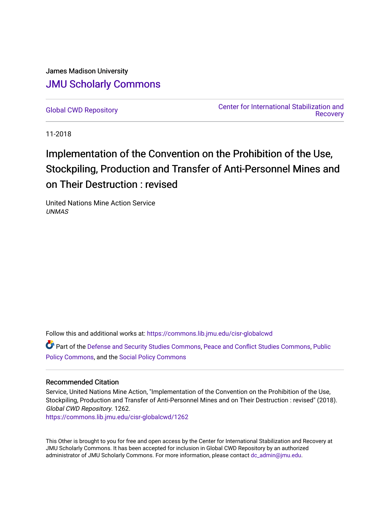James Madison University [JMU Scholarly Commons](https://commons.lib.jmu.edu/)

[Global CWD Repository](https://commons.lib.jmu.edu/cisr-globalcwd) [Center for International Stabilization and](https://commons.lib.jmu.edu/cisr)  [Recovery](https://commons.lib.jmu.edu/cisr) 

11-2018

## Implementation of the Convention on the Prohibition of the Use, Stockpiling, Production and Transfer of Anti-Personnel Mines and on Their Destruction : revised

United Nations Mine Action Service UNMAS

Follow this and additional works at: [https://commons.lib.jmu.edu/cisr-globalcwd](https://commons.lib.jmu.edu/cisr-globalcwd?utm_source=commons.lib.jmu.edu%2Fcisr-globalcwd%2F1262&utm_medium=PDF&utm_campaign=PDFCoverPages)

Part of the [Defense and Security Studies Commons](http://network.bepress.com/hgg/discipline/394?utm_source=commons.lib.jmu.edu%2Fcisr-globalcwd%2F1262&utm_medium=PDF&utm_campaign=PDFCoverPages), [Peace and Conflict Studies Commons](http://network.bepress.com/hgg/discipline/397?utm_source=commons.lib.jmu.edu%2Fcisr-globalcwd%2F1262&utm_medium=PDF&utm_campaign=PDFCoverPages), [Public](http://network.bepress.com/hgg/discipline/400?utm_source=commons.lib.jmu.edu%2Fcisr-globalcwd%2F1262&utm_medium=PDF&utm_campaign=PDFCoverPages) [Policy Commons](http://network.bepress.com/hgg/discipline/400?utm_source=commons.lib.jmu.edu%2Fcisr-globalcwd%2F1262&utm_medium=PDF&utm_campaign=PDFCoverPages), and the [Social Policy Commons](http://network.bepress.com/hgg/discipline/1030?utm_source=commons.lib.jmu.edu%2Fcisr-globalcwd%2F1262&utm_medium=PDF&utm_campaign=PDFCoverPages)

## Recommended Citation

Service, United Nations Mine Action, "Implementation of the Convention on the Prohibition of the Use, Stockpiling, Production and Transfer of Anti-Personnel Mines and on Their Destruction : revised" (2018). Global CWD Repository. 1262.

[https://commons.lib.jmu.edu/cisr-globalcwd/1262](https://commons.lib.jmu.edu/cisr-globalcwd/1262?utm_source=commons.lib.jmu.edu%2Fcisr-globalcwd%2F1262&utm_medium=PDF&utm_campaign=PDFCoverPages) 

This Other is brought to you for free and open access by the Center for International Stabilization and Recovery at JMU Scholarly Commons. It has been accepted for inclusion in Global CWD Repository by an authorized administrator of JMU Scholarly Commons. For more information, please contact [dc\\_admin@jmu.edu](mailto:dc_admin@jmu.edu).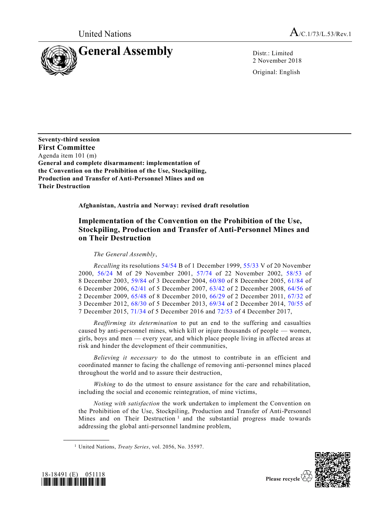

2 November 2018

Original: English

**Seventy-third session First Committee** Agenda item 101 (m) **General and complete disarmament: implementation of the Convention on the Prohibition of the Use, Stockpiling, Production and Transfer of Anti-Personnel Mines and on Their Destruction**

**Afghanistan, Austria and Norway: revised draft resolution**

## **Implementation of the Convention on the Prohibition of the Use, Stockpiling, Production and Transfer of Anti-Personnel Mines and on Their Destruction**

*The General Assembly*,

*Recalling* its resolutions [54/54](https://undocs.org/A/RES/54/54) B of 1 December 1999, [55/33](https://undocs.org/A/RES/55/33) V of 20 November 2000, [56/24](https://undocs.org/A/RES/56/24) M of 29 November 2001, [57/74](https://undocs.org/A/RES/57/74) of 22 November 2002, [58/53](https://undocs.org/A/RES/58/53) of December 2003, [59/84](https://undocs.org/A/RES/59/84) of 3 December 2004, [60/80](https://undocs.org/A/RES/60/80) of 8 December 2005, [61/84](https://undocs.org/A/RES/61/84) of December 2006, [62/41](https://undocs.org/A/RES/62/41) of 5 December 2007, [63/42](https://undocs.org/A/RES/63/42) of 2 December 2008, [64/56](https://undocs.org/A/RES/64/56) of December 2009, [65/48](https://undocs.org/A/RES/65/48) of 8 December 2010, [66/29](https://undocs.org/A/RES/66/29) of 2 December 2011, [67/32](https://undocs.org/A/RES/67/32) of December 2012, [68/30](https://undocs.org/A/RES/68/30) of 5 December 2013, [69/34](https://undocs.org/A/RES/69/34) of 2 December 2014, [70/55](https://undocs.org/A/RES/70/55) of December 2015, [71/34](https://undocs.org/A/RES/71/34) of 5 December 2016 and [72/53](https://undocs.org/A/RES/72/53) of 4 December 2017,

*Reaffirming its determination* to put an end to the suffering and casualties caused by anti-personnel mines, which kill or injure thousands of people — women, girls, boys and men — every year, and which place people living in affected areas at risk and hinder the development of their communities,

*Believing it necessary* to do the utmost to contribute in an efficient and coordinated manner to facing the challenge of removing anti-personnel mines placed throughout the world and to assure their destruction,

*Wishing* to do the utmost to ensure assistance for the care and rehabilitation, including the social and economic reintegration, of mine victims,

*Noting with satisfaction* the work undertaken to implement the Convention on the Prohibition of the Use, Stockpiling, Production and Transfer of Anti-Personnel Mines and on Their Destruction<sup>1</sup> and the substantial progress made towards addressing the global anti-personnel landmine problem,





**\_\_\_\_\_\_\_\_\_\_\_\_\_\_\_\_\_\_**

<sup>1</sup> United Nations, *Treaty Series*, vol. 2056, No. 35597.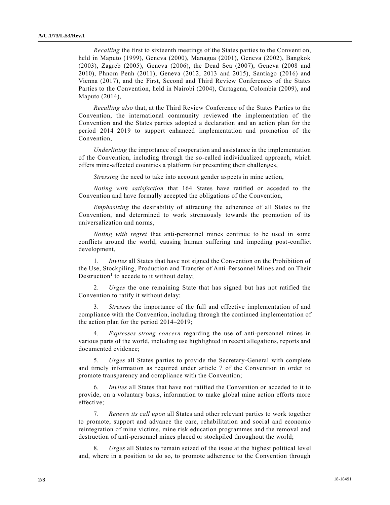*Recalling* the first to sixteenth meetings of the States parties to the Convention, held in Maputo (1999), Geneva (2000), Managua (2001), Geneva (2002), Bangkok (2003), Zagreb (2005), Geneva (2006), the Dead Sea (2007), Geneva (2008 and 2010), Phnom Penh (2011), Geneva (2012, 2013 and 2015), Santiago (2016) and Vienna (2017), and the First, Second and Third Review Conferences of the States Parties to the Convention, held in Nairobi (2004), Cartagena, Colombia (2009), and Maputo (2014),

*Recalling also* that, at the Third Review Conference of the States Parties to the Convention, the international community reviewed the implementation of the Convention and the States parties adopted a declaration and an action plan for the period 2014–2019 to support enhanced implementation and promotion of the Convention,

*Underlining* the importance of cooperation and assistance in the implementation of the Convention, including through the so-called individualized approach, which offers mine-affected countries a platform for presenting their challenges,

*Stressing* the need to take into account gender aspects in mine action,

*Noting with satisfaction* that 164 States have ratified or acceded to the Convention and have formally accepted the obligations of the Convention,

*Emphasizing* the desirability of attracting the adherence of all States to the Convention, and determined to work strenuously towards the promotion of its universalization and norms,

*Noting with regret* that anti-personnel mines continue to be used in some conflicts around the world, causing human suffering and impeding post-conflict development,

1. *Invites* all States that have not signed the Convention on the Prohibition of the Use, Stockpiling, Production and Transfer of Anti-Personnel Mines and on Their Destruction<sup>1</sup> to accede to it without delay;

2. *Urges* the one remaining State that has signed but has not ratified the Convention to ratify it without delay;

3. *Stresses* the importance of the full and effective implementation of and compliance with the Convention, including through the continued implementation of the action plan for the period 2014–2019;

4. *Expresses strong concern* regarding the use of anti-personnel mines in various parts of the world, including use highlighted in recent allegations, reports and documented evidence;

5. *Urges* all States parties to provide the Secretary-General with complete and timely information as required under article 7 of the Convention in order to promote transparency and compliance with the Convention;

*Invites* all States that have not ratified the Convention or acceded to it to provide, on a voluntary basis, information to make global mine action efforts more effective;

7. *Renews its call upon* all States and other relevant parties to work together to promote, support and advance the care, rehabilitation and social and economic reintegration of mine victims, mine risk education programmes and the removal and destruction of anti-personnel mines placed or stockpiled throughout the world;

8. *Urges* all States to remain seized of the issue at the highest political level and, where in a position to do so, to promote adherence to the Convention through